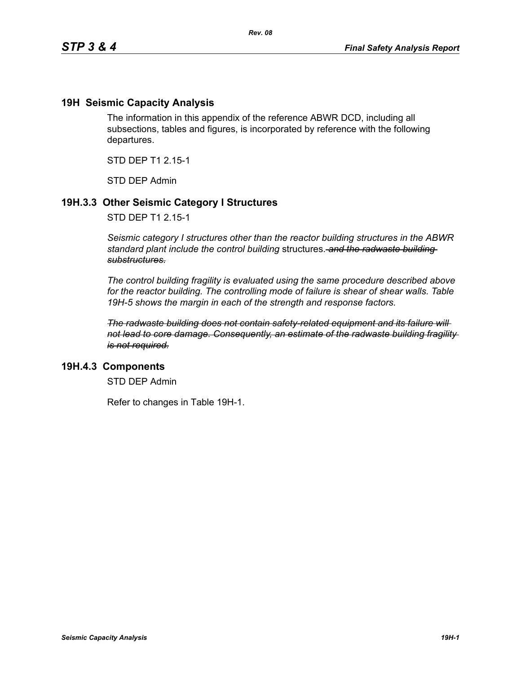## **19H Seismic Capacity Analysis**

The information in this appendix of the reference ABWR DCD, including all subsections, tables and figures, is incorporated by reference with the following departures.

STD DEP T1 2.15-1

STD DEP Admin

## **19H.3.3 Other Seismic Category I Structures**

STD DEP T1 2.15-1

*Seismic category I structures other than the reactor building structures in the ABWR standard plant include the control building* structures. *and the radwaste building substructures.*

*The control building fragility is evaluated using the same procedure described above for the reactor building. The controlling mode of failure is shear of shear walls. Table 19H-5 shows the margin in each of the strength and response factors.*

*The radwaste building does not contain safety-related equipment and its failure will not lead to core damage. Consequently, an estimate of the radwaste building fragility is not required.*

### **19H.4.3 Components**

STD DEP Admin

Refer to changes in Table 19H-1.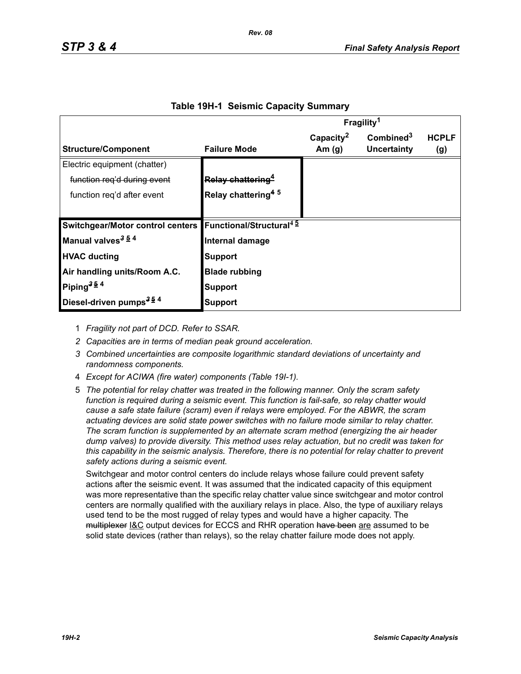|                                                                      |                                | Fragility <sup>1</sup> |                       |              |
|----------------------------------------------------------------------|--------------------------------|------------------------|-----------------------|--------------|
|                                                                      |                                | Capacity <sup>2</sup>  | Combined <sup>3</sup> | <b>HCPLF</b> |
| <b>Structure/Component</b>                                           | <b>Failure Mode</b>            | Am $(g)$               | Uncertainty           | (g)          |
| Electric equipment (chatter)                                         |                                |                        |                       |              |
| function reg'd during event                                          | Relay chattering <sup>4</sup>  |                        |                       |              |
| function reg'd after event                                           | Relay chattering <sup>45</sup> |                        |                       |              |
|                                                                      |                                |                        |                       |              |
| Switchgear/Motor control centers Functional/Structural <sup>45</sup> |                                |                        |                       |              |
| Manual valves <sup>3 54</sup>                                        | Internal damage                |                        |                       |              |
| <b>HVAC ducting</b>                                                  | <b>Support</b>                 |                        |                       |              |
| Air handling units/Room A.C.                                         | <b>Blade rubbing</b>           |                        |                       |              |
| Piping <sup>354</sup>                                                | Support                        |                        |                       |              |
| Diesel-driven pumps <sup>354</sup>                                   | Support                        |                        |                       |              |

#### **Table 19H-1 Seismic Capacity Summary**

1 *Fragility not part of DCD. Refer to SSAR.*

- *2 Capacities are in terms of median peak ground acceleration.*
- *3 Combined uncertainties are composite logarithmic standard deviations of uncertainty and randomness components.*
- 4 *Except for ACIWA (fire water) components (Table 19I-1).*
- 5 *The potential for relay chatter was treated in the following manner. Only the scram safety function is required during a seismic event. This function is fail-safe, so relay chatter would cause a safe state failure (scram) even if relays were employed. For the ABWR, the scram actuating devices are solid state power switches with no failure mode similar to relay chatter. The scram function is supplemented by an alternate scram method (energizing the air header dump valves) to provide diversity. This method uses relay actuation, but no credit was taken for this capability in the seismic analysis. Therefore, there is no potential for relay chatter to prevent safety actions during a seismic event.*

Switchgear and motor control centers do include relays whose failure could prevent safety actions after the seismic event. It was assumed that the indicated capacity of this equipment was more representative than the specific relay chatter value since switchgear and motor control centers are normally qualified with the auxiliary relays in place. Also, the type of auxiliary relays used tend to be the most rugged of relay types and would have a higher capacity. The multiplexer I&C output devices for ECCS and RHR operation have been are assumed to be solid state devices (rather than relays), so the relay chatter failure mode does not apply.